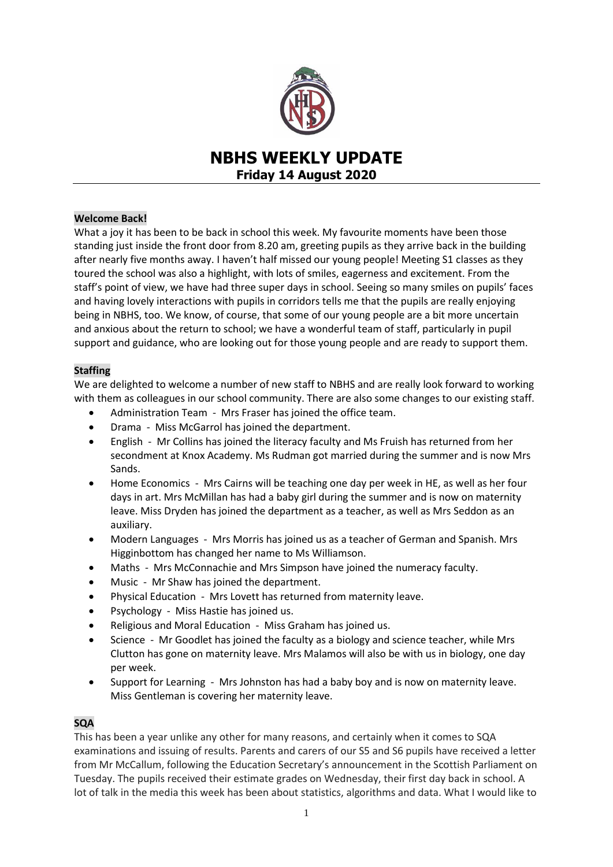

# **NBHS WEEKLY UPDATE Friday 14 August 2020**

# **Welcome Back!**

What a joy it has been to be back in school this week. My favourite moments have been those standing just inside the front door from 8.20 am, greeting pupils as they arrive back in the building after nearly five months away. I haven't half missed our young people! Meeting S1 classes as they toured the school was also a highlight, with lots of smiles, eagerness and excitement. From the staff's point of view, we have had three super days in school. Seeing so many smiles on pupils' faces and having lovely interactions with pupils in corridors tells me that the pupils are really enjoying being in NBHS, too. We know, of course, that some of our young people are a bit more uncertain and anxious about the return to school; we have a wonderful team of staff, particularly in pupil support and guidance, who are looking out for those young people and are ready to support them.

# **Staffing**

We are delighted to welcome a number of new staff to NBHS and are really look forward to working with them as colleagues in our school community. There are also some changes to our existing staff.

- Administration Team Mrs Fraser has joined the office team.
- Drama Miss McGarrol has joined the department.
- English Mr Collins has joined the literacy faculty and Ms Fruish has returned from her secondment at Knox Academy. Ms Rudman got married during the summer and is now Mrs Sands.
- Home Economics Mrs Cairns will be teaching one day per week in HE, as well as her four days in art. Mrs McMillan has had a baby girl during the summer and is now on maternity leave. Miss Dryden has joined the department as a teacher, as well as Mrs Seddon as an auxiliary.
- Modern Languages Mrs Morris has joined us as a teacher of German and Spanish. Mrs Higginbottom has changed her name to Ms Williamson.
- Maths Mrs McConnachie and Mrs Simpson have joined the numeracy faculty.
- Music Mr Shaw has joined the department.
- Physical Education Mrs Lovett has returned from maternity leave.
- Psychology Miss Hastie has joined us.
- Religious and Moral Education Miss Graham has joined us.
- Science Mr Goodlet has joined the faculty as a biology and science teacher, while Mrs Clutton has gone on maternity leave. Mrs Malamos will also be with us in biology, one day per week.
- Support for Learning Mrs Johnston has had a baby boy and is now on maternity leave. Miss Gentleman is covering her maternity leave.

# **SQA**

This has been a year unlike any other for many reasons, and certainly when it comes to SQA examinations and issuing of results. Parents and carers of our S5 and S6 pupils have received a letter from Mr McCallum, following the Education Secretary's announcement in the Scottish Parliament on Tuesday. The pupils received their estimate grades on Wednesday, their first day back in school. A lot of talk in the media this week has been about statistics, algorithms and data. What I would like to